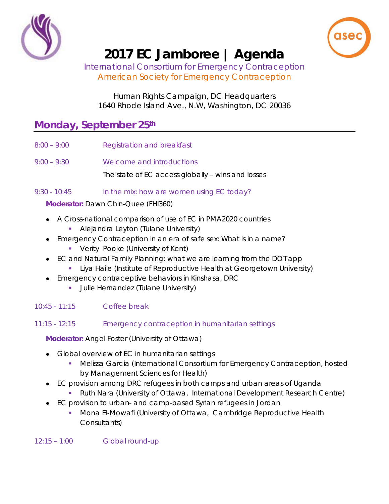



# **2017 EC Jamboree | Agenda**

*International Consortium for Emergency Contraception American Society for Emergency Contraception*

Human Rights Campaign, DC Headquarters 1640 Rhode Island Ave., N.W, Washington, DC 20036

## **Monday, September 25th**

- 8:00 9:00 Registration and breakfast
- 9:00 9:30 Welcome and introductions The state of EC access globally – wins and losses
- 9:30 10:45 In the mix: how are women using EC today?

**Moderator:** Dawn Chin-Quee *(FHI360)*

- A Cross-national comparison of use of EC in PMA2020 countries
	- Alejandra Leyton *(Tulane University)*
- Emergency Contraception in an era of safe sex: What is in a name?
	- Verity Pooke *(University of Kent)*
- EC and Natural Family Planning: what we are learning from the DOT app
	- Liya Haile *(Institute of Reproductive Health at Georgetown University)*
- Emergency contraceptive behaviors in Kinshasa, DRC
	- Julie Hernandez *(Tulane University)*

10:45 - 11:15 Coffee break

### 11:15 - 12:15 Emergency contraception in humanitarian settings

**Moderator:** Angel Foster *(University of Ottawa)*

- Global overview of EC in humanitarian settings
	- Melissa Garcia (*International Consortium for Emergency Contraception, hosted by Management Sciences for Health*)
- EC provision among DRC refugees in both camps and urban areas of Uganda
	- Ruth Nara (*University of Ottawa, International Development Research Centre*)
- EC provision to urban- and camp-based Syrian refugees in Jordan
	- Mona El-Mowafi (*University of Ottawa, Cambridge Reproductive Health Consultants*)

12:15 – 1:00 Global round-up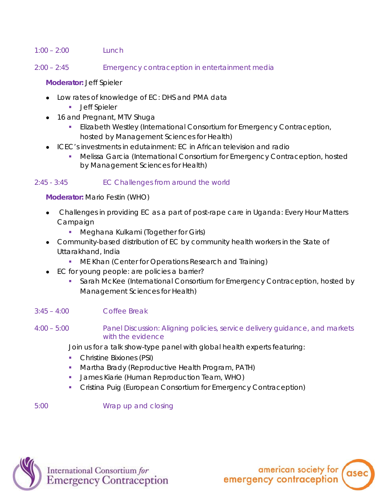#### $1:00 - 2:00$  Lunch

2:00 – 2:45 Emergency contraception in entertainment media

#### **Moderator:** Jeff Spieler

- Low rates of knowledge of EC: DHS and PMA data
	- **Jeff Spieler**
- 16 and Pregnant, MTV Shuga
	- Elizabeth Westley (*International Consortium for Emergency Contraception, hosted by Management Sciences for Health*)
- ICEC's investments in edutainment: EC in African television and radio
	- Melissa Garcia (*International Consortium for Emergency Contraception, hosted by Management Sciences for Health*)

#### 2:45 - 3:45 EC Challenges from around the world

**Moderator:** Mario Festin (*WHO*)

- Challenges in providing EC as a part of post-rape care in Uganda: Every Hour Matters Campaign
	- Meghana Kulkami (*Together for Girls*)
- Community-based distribution of EC by community health workers in the State of Uttarakhand, India
	- ME Khan *(Center for Operations Research and Training)*
- EC for young people: are policies a barrier?
	- Sarah McKee *(International Consortium for Emergency Contraception, hosted by Management Sciences for Health)*

#### 3:45 – 4:00 Coffee Break

4:00 – 5:00 Panel Discussion: Aligning policies, service delivery guidance, and markets with the evidence

Join us for a talk show-type panel with global health experts featuring:

- Christine Bixiones *(PSI)*
- Martha Brady *(Reproductive Health Program, PATH)*
- James Kiarie *(Human Reproduction Team, WHO)*
- Cristina Puig *(European Consortium for Emergency Contraception)*

5:00 Wrap up and closing



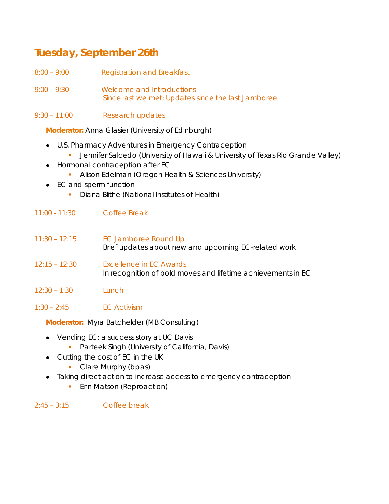## **Tuesday, September 26th**

- 8:00 9:00 Registration and Breakfast
- 9:00 9:30 Welcome and Introductions Since last we met: Updates since the last Jamboree
- 9:30 11:00 Research updates

**Moderator:** Anna Glasier *(University of Edinburgh)*

- U.S. Pharmacy Adventures in Emergency Contraception
	- Jennifer Salcedo *(University of Hawaii & University of Texas Rio Grande Valley)*
- Hormonal contraception after EC
	- Alison Edelman (*Oregon Health & Sciences University*)
- **EC and sperm function** 
	- Diana Blithe (*National Institutes of Health*)
- 11:00 11:30 Coffee Break
- 11:30 12:15 EC Jamboree Round Up Brief updates about new and upcoming EC-related work
- 12:15 12:30 Excellence in EC Awards In recognition of bold moves and lifetime achievements in EC
- 12:30 1:30 Lunch
- 1:30 2:45 EC Activism

**Moderator:** Myra Batchelder *(MB Consulting)*

- Vending EC: a success story at UC Davis
	- Parteek Singh (*University of California, Davis*)
- Cutting the cost of EC in the UK
	- Clare Murphy (*bpas*)
- Taking direct action to increase access to emergency contraception
	- **Erin Matson (Reproaction)**
- $2:45 3:15$  Coffee break